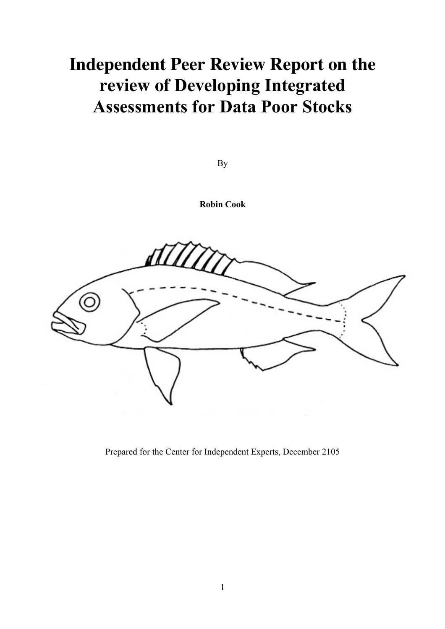# **Independent Peer Review Report on the review of Developing Integrated Assessments for Data Poor Stocks**

By

**Robin Cook**

Ш Ó

Prepared for the Center for Independent Experts, December 2105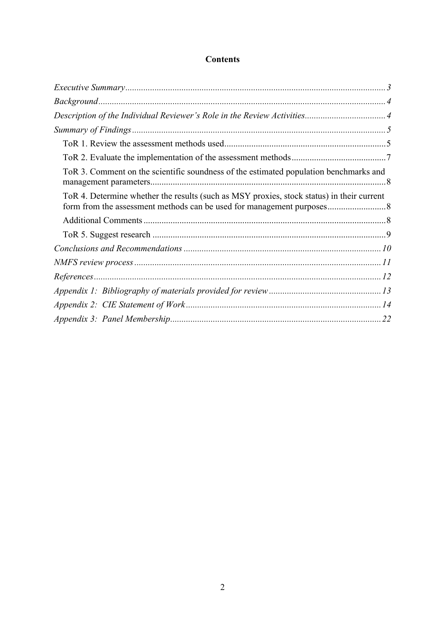# **Contents**

| ToR 3. Comment on the scientific soundness of the estimated population benchmarks and     |  |
|-------------------------------------------------------------------------------------------|--|
| ToR 4. Determine whether the results (such as MSY proxies, stock status) in their current |  |
|                                                                                           |  |
|                                                                                           |  |
|                                                                                           |  |
|                                                                                           |  |
|                                                                                           |  |
|                                                                                           |  |
|                                                                                           |  |
|                                                                                           |  |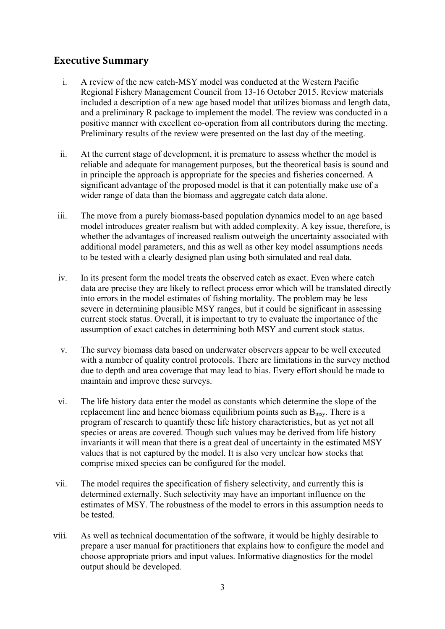# **Executive Summary**

- i. A review of the new catch-MSY model was conducted at the Western Pacific Regional Fishery Management Council from 13-16 October 2015. Review materials included a description of a new age based model that utilizes biomass and length data, and a preliminary R package to implement the model. The review was conducted in a positive manner with excellent co-operation from all contributors during the meeting. Preliminary results of the review were presented on the last day of the meeting.
- ii. At the current stage of development, it is premature to assess whether the model is reliable and adequate for management purposes, but the theoretical basis is sound and in principle the approach is appropriate for the species and fisheries concerned. A significant advantage of the proposed model is that it can potentially make use of a wider range of data than the biomass and aggregate catch data alone.
- iii. The move from a purely biomass-based population dynamics model to an age based model introduces greater realism but with added complexity. A key issue, therefore, is whether the advantages of increased realism outweigh the uncertainty associated with additional model parameters, and this as well as other key model assumptions needs to be tested with a clearly designed plan using both simulated and real data.
- iv. In its present form the model treats the observed catch as exact. Even where catch data are precise they are likely to reflect process error which will be translated directly into errors in the model estimates of fishing mortality. The problem may be less severe in determining plausible MSY ranges, but it could be significant in assessing current stock status. Overall, it is important to try to evaluate the importance of the assumption of exact catches in determining both MSY and current stock status.
- v. The survey biomass data based on underwater observers appear to be well executed with a number of quality control protocols. There are limitations in the survey method due to depth and area coverage that may lead to bias. Every effort should be made to maintain and improve these surveys.
- vi. The life history data enter the model as constants which determine the slope of the replacement line and hence biomass equilibrium points such as  $B<sub>msy</sub>$ . There is a program of research to quantify these life history characteristics, but as yet not all species or areas are covered. Though such values may be derived from life history invariants it will mean that there is a great deal of uncertainty in the estimated MSY values that is not captured by the model. It is also very unclear how stocks that comprise mixed species can be configured for the model.
- vii. The model requires the specification of fishery selectivity, and currently this is determined externally. Such selectivity may have an important influence on the estimates of MSY. The robustness of the model to errors in this assumption needs to be tested.
- viii. As well as technical documentation of the software, it would be highly desirable to prepare a user manual for practitioners that explains how to configure the model and choose appropriate priors and input values. Informative diagnostics for the model output should be developed.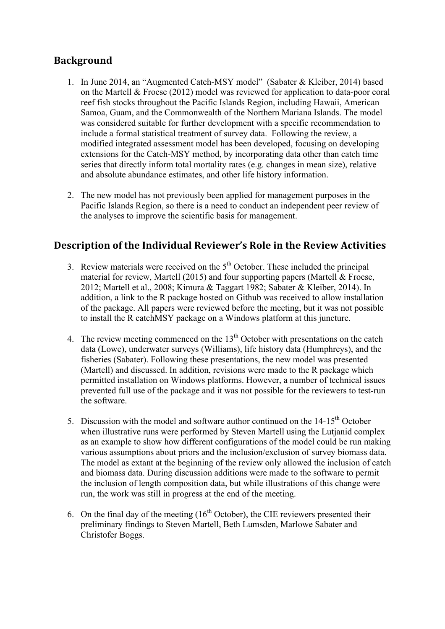# **Background**

- 1. In June 2014, an "Augmented Catch-MSY model" (Sabater & Kleiber, 2014) based on the Martell & Froese (2012) model was reviewed for application to data-poor coral reef fish stocks throughout the Pacific Islands Region, including Hawaii, American Samoa, Guam, and the Commonwealth of the Northern Mariana Islands. The model was considered suitable for further development with a specific recommendation to include a formal statistical treatment of survey data. Following the review, a modified integrated assessment model has been developed, focusing on developing extensions for the Catch-MSY method, by incorporating data other than catch time series that directly inform total mortality rates (e.g. changes in mean size), relative and absolute abundance estimates, and other life history information.
- 2. The new model has not previously been applied for management purposes in the Pacific Islands Region, so there is a need to conduct an independent peer review of the analyses to improve the scientific basis for management.

# **Description of the Individual Reviewer's Role in the Review Activities**

- 3. Review materials were received on the  $5<sup>th</sup>$  October. These included the principal material for review, Martell (2015) and four supporting papers (Martell & Froese, 2012; Martell et al., 2008; Kimura & Taggart 1982; Sabater & Kleiber, 2014). In addition, a link to the R package hosted on Github was received to allow installation of the package. All papers were reviewed before the meeting, but it was not possible to install the R catchMSY package on a Windows platform at this juncture.
- 4. The review meeting commenced on the  $13<sup>th</sup>$  October with presentations on the catch data (Lowe), underwater surveys (Williams), life history data (Humphreys), and the fisheries (Sabater). Following these presentations, the new model was presented (Martell) and discussed. In addition, revisions were made to the R package which permitted installation on Windows platforms. However, a number of technical issues prevented full use of the package and it was not possible for the reviewers to test-run the software.
- 5. Discussion with the model and software author continued on the  $14-15<sup>th</sup>$  October when illustrative runs were performed by Steven Martell using the Lutianid complex as an example to show how different configurations of the model could be run making various assumptions about priors and the inclusion/exclusion of survey biomass data. The model as extant at the beginning of the review only allowed the inclusion of catch and biomass data. During discussion additions were made to the software to permit the inclusion of length composition data, but while illustrations of this change were run, the work was still in progress at the end of the meeting.
- 6. On the final day of the meeting  $(16<sup>th</sup> October)$ , the CIE reviewers presented their preliminary findings to Steven Martell, Beth Lumsden, Marlowe Sabater and Christofer Boggs.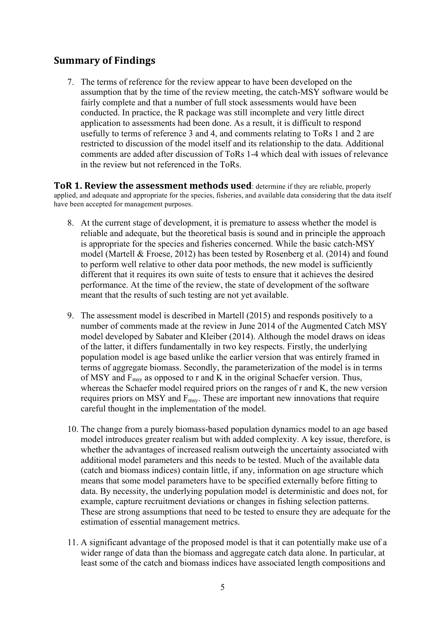# **Summary of Findings**

7. The terms of reference for the review appear to have been developed on the assumption that by the time of the review meeting, the catch-MSY software would be fairly complete and that a number of full stock assessments would have been conducted. In practice, the R package was still incomplete and very little direct application to assessments had been done. As a result, it is difficult to respond usefully to terms of reference 3 and 4, and comments relating to ToRs 1 and 2 are restricted to discussion of the model itself and its relationship to the data. Additional comments are added after discussion of ToRs 1-4 which deal with issues of relevance in the review but not referenced in the ToRs.

**ToR 1. Review the assessment methods used:** determine if they are reliable, properly applied, and adequate and appropriate for the species, fisheries, and available data considering that the data itself have been accepted for management purposes.

- 8. At the current stage of development, it is premature to assess whether the model is reliable and adequate, but the theoretical basis is sound and in principle the approach is appropriate for the species and fisheries concerned. While the basic catch-MSY model (Martell & Froese, 2012) has been tested by Rosenberg et al. (2014) and found to perform well relative to other data poor methods, the new model is sufficiently different that it requires its own suite of tests to ensure that it achieves the desired performance. At the time of the review, the state of development of the software meant that the results of such testing are not yet available.
- 9. The assessment model is described in Martell (2015) and responds positively to a number of comments made at the review in June 2014 of the Augmented Catch MSY model developed by Sabater and Kleiber (2014). Although the model draws on ideas of the latter, it differs fundamentally in two key respects. Firstly, the underlying population model is age based unlike the earlier version that was entirely framed in terms of aggregate biomass. Secondly, the parameterization of the model is in terms of MSY and  $F_{\text{msy}}$  as opposed to r and K in the original Schaefer version. Thus, whereas the Schaefer model required priors on the ranges of r and K, the new version requires priors on MSY and  $F_{\text{msy}}$ . These are important new innovations that require careful thought in the implementation of the model.
- 10. The change from a purely biomass-based population dynamics model to an age based model introduces greater realism but with added complexity. A key issue, therefore, is whether the advantages of increased realism outweigh the uncertainty associated with additional model parameters and this needs to be tested. Much of the available data (catch and biomass indices) contain little, if any, information on age structure which means that some model parameters have to be specified externally before fitting to data. By necessity, the underlying population model is deterministic and does not, for example, capture recruitment deviations or changes in fishing selection patterns. These are strong assumptions that need to be tested to ensure they are adequate for the estimation of essential management metrics.
- 11. A significant advantage of the proposed model is that it can potentially make use of a wider range of data than the biomass and aggregate catch data alone. In particular, at least some of the catch and biomass indices have associated length compositions and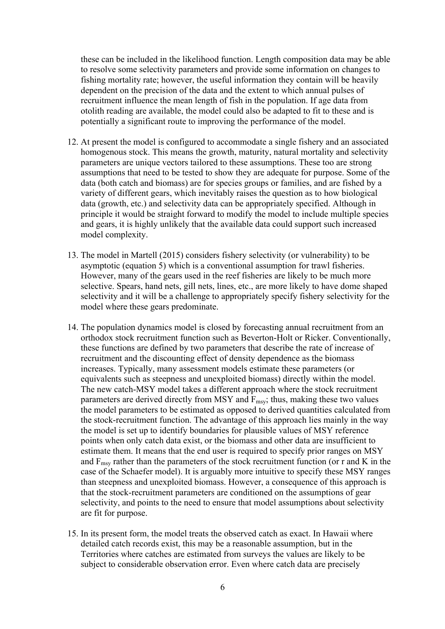these can be included in the likelihood function. Length composition data may be able to resolve some selectivity parameters and provide some information on changes to fishing mortality rate; however, the useful information they contain will be heavily dependent on the precision of the data and the extent to which annual pulses of recruitment influence the mean length of fish in the population. If age data from otolith reading are available, the model could also be adapted to fit to these and is potentially a significant route to improving the performance of the model.

- 12. At present the model is configured to accommodate a single fishery and an associated homogenous stock. This means the growth, maturity, natural mortality and selectivity parameters are unique vectors tailored to these assumptions. These too are strong assumptions that need to be tested to show they are adequate for purpose. Some of the data (both catch and biomass) are for species groups or families, and are fished by a variety of different gears, which inevitably raises the question as to how biological data (growth, etc.) and selectivity data can be appropriately specified. Although in principle it would be straight forward to modify the model to include multiple species and gears, it is highly unlikely that the available data could support such increased model complexity.
- 13. The model in Martell (2015) considers fishery selectivity (or vulnerability) to be asymptotic (equation 5) which is a conventional assumption for trawl fisheries. However, many of the gears used in the reef fisheries are likely to be much more selective. Spears, hand nets, gill nets, lines, etc., are more likely to have dome shaped selectivity and it will be a challenge to appropriately specify fishery selectivity for the model where these gears predominate.
- 14. The population dynamics model is closed by forecasting annual recruitment from an orthodox stock recruitment function such as Beverton-Holt or Ricker. Conventionally, these functions are defined by two parameters that describe the rate of increase of recruitment and the discounting effect of density dependence as the biomass increases. Typically, many assessment models estimate these parameters (or equivalents such as steepness and unexploited biomass) directly within the model. The new catch-MSY model takes a different approach where the stock recruitment parameters are derived directly from MSY and  $F_{\text{msv}}$ ; thus, making these two values the model parameters to be estimated as opposed to derived quantities calculated from the stock-recruitment function. The advantage of this approach lies mainly in the way the model is set up to identify boundaries for plausible values of MSY reference points when only catch data exist, or the biomass and other data are insufficient to estimate them. It means that the end user is required to specify prior ranges on MSY and  $F_{\text{msy}}$  rather than the parameters of the stock recruitment function (or r and K in the case of the Schaefer model). It is arguably more intuitive to specify these MSY ranges than steepness and unexploited biomass. However, a consequence of this approach is that the stock-recruitment parameters are conditioned on the assumptions of gear selectivity, and points to the need to ensure that model assumptions about selectivity are fit for purpose.
- 15. In its present form, the model treats the observed catch as exact. In Hawaii where detailed catch records exist, this may be a reasonable assumption, but in the Territories where catches are estimated from surveys the values are likely to be subject to considerable observation error. Even where catch data are precisely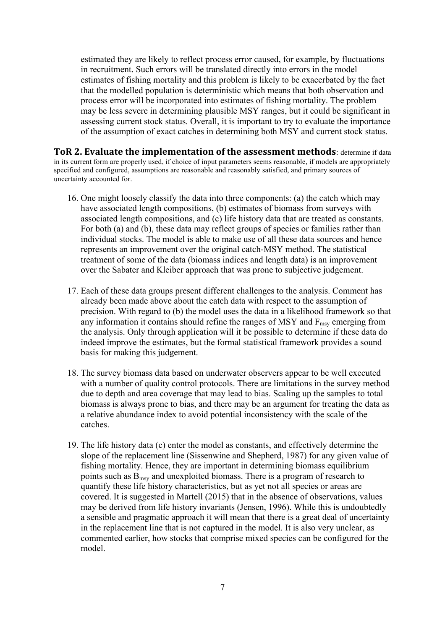estimated they are likely to reflect process error caused, for example, by fluctuations in recruitment. Such errors will be translated directly into errors in the model estimates of fishing mortality and this problem is likely to be exacerbated by the fact that the modelled population is deterministic which means that both observation and process error will be incorporated into estimates of fishing mortality. The problem may be less severe in determining plausible MSY ranges, but it could be significant in assessing current stock status. Overall, it is important to try to evaluate the importance of the assumption of exact catches in determining both MSY and current stock status.

**ToR 2. Evaluate the implementation of the assessment methods: determine if data** in its current form are properly used, if choice of input parameters seems reasonable, if models are appropriately specified and configured, assumptions are reasonable and reasonably satisfied, and primary sources of uncertainty accounted for.

- 16. One might loosely classify the data into three components: (a) the catch which may have associated length compositions, (b) estimates of biomass from surveys with associated length compositions, and (c) life history data that are treated as constants. For both (a) and (b), these data may reflect groups of species or families rather than individual stocks. The model is able to make use of all these data sources and hence represents an improvement over the original catch-MSY method. The statistical treatment of some of the data (biomass indices and length data) is an improvement over the Sabater and Kleiber approach that was prone to subjective judgement.
- 17. Each of these data groups present different challenges to the analysis. Comment has already been made above about the catch data with respect to the assumption of precision. With regard to (b) the model uses the data in a likelihood framework so that any information it contains should refine the ranges of MSY and  $F_{\text{msy}}$  emerging from the analysis. Only through application will it be possible to determine if these data do indeed improve the estimates, but the formal statistical framework provides a sound basis for making this judgement.
- 18. The survey biomass data based on underwater observers appear to be well executed with a number of quality control protocols. There are limitations in the survey method due to depth and area coverage that may lead to bias. Scaling up the samples to total biomass is always prone to bias, and there may be an argument for treating the data as a relative abundance index to avoid potential inconsistency with the scale of the catches.
- 19. The life history data (c) enter the model as constants, and effectively determine the slope of the replacement line (Sissenwine and Shepherd, 1987) for any given value of fishing mortality. Hence, they are important in determining biomass equilibrium points such as  $B_{\text{msy}}$  and unexploited biomass. There is a program of research to quantify these life history characteristics, but as yet not all species or areas are covered. It is suggested in Martell (2015) that in the absence of observations, values may be derived from life history invariants (Jensen, 1996). While this is undoubtedly a sensible and pragmatic approach it will mean that there is a great deal of uncertainty in the replacement line that is not captured in the model. It is also very unclear, as commented earlier, how stocks that comprise mixed species can be configured for the model.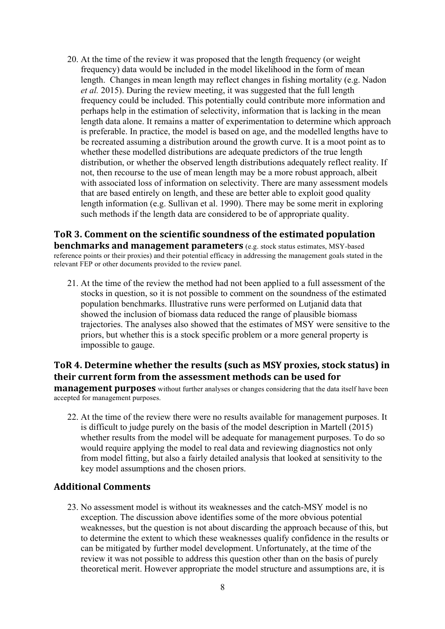20. At the time of the review it was proposed that the length frequency (or weight frequency) data would be included in the model likelihood in the form of mean length. Changes in mean length may reflect changes in fishing mortality (e.g. Nadon *et al.* 2015). During the review meeting, it was suggested that the full length frequency could be included. This potentially could contribute more information and perhaps help in the estimation of selectivity, information that is lacking in the mean length data alone. It remains a matter of experimentation to determine which approach is preferable. In practice, the model is based on age, and the modelled lengths have to be recreated assuming a distribution around the growth curve. It is a moot point as to whether these modelled distributions are adequate predictors of the true length distribution, or whether the observed length distributions adequately reflect reality. If not, then recourse to the use of mean length may be a more robust approach, albeit with associated loss of information on selectivity. There are many assessment models that are based entirely on length, and these are better able to exploit good quality length information (e.g. Sullivan et al. 1990). There may be some merit in exploring such methods if the length data are considered to be of appropriate quality.

ToR 3. Comment on the scientific soundness of the estimated population **benchmarks and management parameters** (e.g. stock status estimates, MSY-based reference points or their proxies) and their potential efficacy in addressing the management goals stated in the relevant FEP or other documents provided to the review panel.

21. At the time of the review the method had not been applied to a full assessment of the stocks in question, so it is not possible to comment on the soundness of the estimated population benchmarks. Illustrative runs were performed on Lutjanid data that showed the inclusion of biomass data reduced the range of plausible biomass trajectories. The analyses also showed that the estimates of MSY were sensitive to the priors, but whether this is a stock specific problem or a more general property is impossible to gauge.

## ToR 4. Determine whether the results (such as MSY proxies, stock status) in **their current form from the assessment methods can be used for**

**management purposes** without further analyses or changes considering that the data itself have been accepted for management purposes.

22. At the time of the review there were no results available for management purposes. It is difficult to judge purely on the basis of the model description in Martell (2015) whether results from the model will be adequate for management purposes. To do so would require applying the model to real data and reviewing diagnostics not only from model fitting, but also a fairly detailed analysis that looked at sensitivity to the key model assumptions and the chosen priors.

#### **Additional Comments**

23. No assessment model is without its weaknesses and the catch-MSY model is no exception. The discussion above identifies some of the more obvious potential weaknesses, but the question is not about discarding the approach because of this, but to determine the extent to which these weaknesses qualify confidence in the results or can be mitigated by further model development. Unfortunately, at the time of the review it was not possible to address this question other than on the basis of purely theoretical merit. However appropriate the model structure and assumptions are, it is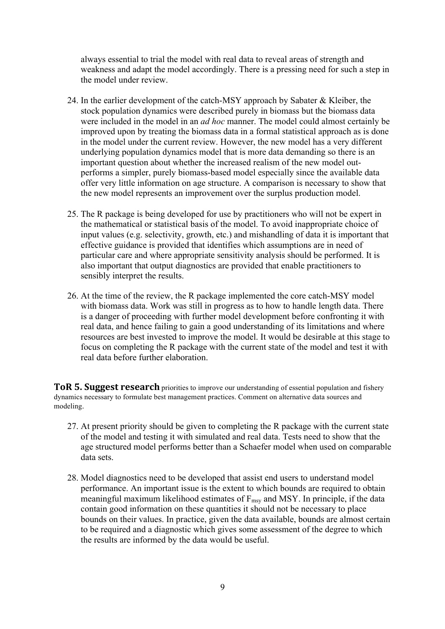always essential to trial the model with real data to reveal areas of strength and weakness and adapt the model accordingly. There is a pressing need for such a step in the model under review.

- 24. In the earlier development of the catch-MSY approach by Sabater & Kleiber, the stock population dynamics were described purely in biomass but the biomass data were included in the model in an *ad hoc* manner. The model could almost certainly be improved upon by treating the biomass data in a formal statistical approach as is done in the model under the current review. However, the new model has a very different underlying population dynamics model that is more data demanding so there is an important question about whether the increased realism of the new model outperforms a simpler, purely biomass-based model especially since the available data offer very little information on age structure. A comparison is necessary to show that the new model represents an improvement over the surplus production model.
- 25. The R package is being developed for use by practitioners who will not be expert in the mathematical or statistical basis of the model. To avoid inappropriate choice of input values (e.g. selectivity, growth, etc.) and mishandling of data it is important that effective guidance is provided that identifies which assumptions are in need of particular care and where appropriate sensitivity analysis should be performed. It is also important that output diagnostics are provided that enable practitioners to sensibly interpret the results.
- 26. At the time of the review, the R package implemented the core catch-MSY model with biomass data. Work was still in progress as to how to handle length data. There is a danger of proceeding with further model development before confronting it with real data, and hence failing to gain a good understanding of its limitations and where resources are best invested to improve the model. It would be desirable at this stage to focus on completing the R package with the current state of the model and test it with real data before further elaboration.

**ToR 5. Suggest research** priorities to improve our understanding of essential population and fishery dynamics necessary to formulate best management practices. Comment on alternative data sources and modeling.

- 27. At present priority should be given to completing the R package with the current state of the model and testing it with simulated and real data. Tests need to show that the age structured model performs better than a Schaefer model when used on comparable data sets.
- 28. Model diagnostics need to be developed that assist end users to understand model performance. An important issue is the extent to which bounds are required to obtain meaningful maximum likelihood estimates of  $F_{\text{msv}}$  and MSY. In principle, if the data contain good information on these quantities it should not be necessary to place bounds on their values. In practice, given the data available, bounds are almost certain to be required and a diagnostic which gives some assessment of the degree to which the results are informed by the data would be useful.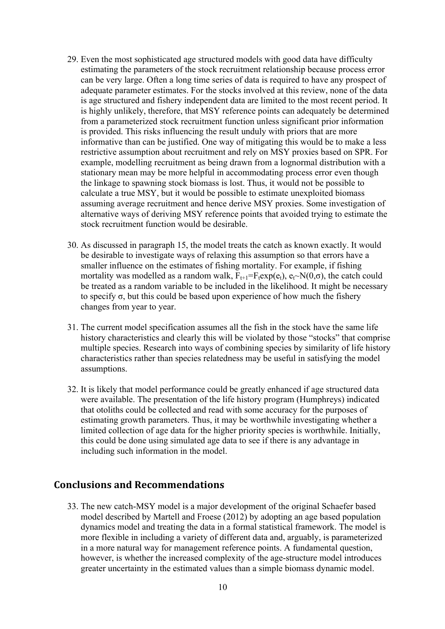- 29. Even the most sophisticated age structured models with good data have difficulty estimating the parameters of the stock recruitment relationship because process error can be very large. Often a long time series of data is required to have any prospect of adequate parameter estimates. For the stocks involved at this review, none of the data is age structured and fishery independent data are limited to the most recent period. It is highly unlikely, therefore, that MSY reference points can adequately be determined from a parameterized stock recruitment function unless significant prior information is provided. This risks influencing the result unduly with priors that are more informative than can be justified. One way of mitigating this would be to make a less restrictive assumption about recruitment and rely on MSY proxies based on SPR. For example, modelling recruitment as being drawn from a lognormal distribution with a stationary mean may be more helpful in accommodating process error even though the linkage to spawning stock biomass is lost. Thus, it would not be possible to calculate a true MSY, but it would be possible to estimate unexploited biomass assuming average recruitment and hence derive MSY proxies. Some investigation of alternative ways of deriving MSY reference points that avoided trying to estimate the stock recruitment function would be desirable.
- 30. As discussed in paragraph 15, the model treats the catch as known exactly. It would be desirable to investigate ways of relaxing this assumption so that errors have a smaller influence on the estimates of fishing mortality. For example, if fishing mortality was modelled as a random walk,  $F_{t+1} = F_t exp(e_t)$ ,  $e_t \sim N(0,\sigma)$ , the catch could be treated as a random variable to be included in the likelihood. It might be necessary to specify  $\sigma$ , but this could be based upon experience of how much the fishery changes from year to year.
- 31. The current model specification assumes all the fish in the stock have the same life history characteristics and clearly this will be violated by those "stocks" that comprise multiple species. Research into ways of combining species by similarity of life history characteristics rather than species relatedness may be useful in satisfying the model assumptions.
- 32. It is likely that model performance could be greatly enhanced if age structured data were available. The presentation of the life history program (Humphreys) indicated that otoliths could be collected and read with some accuracy for the purposes of estimating growth parameters. Thus, it may be worthwhile investigating whether a limited collection of age data for the higher priority species is worthwhile. Initially, this could be done using simulated age data to see if there is any advantage in including such information in the model.

#### **Conclusions and Recommendations**

33. The new catch-MSY model is a major development of the original Schaefer based model described by Martell and Froese (2012) by adopting an age based population dynamics model and treating the data in a formal statistical framework. The model is more flexible in including a variety of different data and, arguably, is parameterized in a more natural way for management reference points. A fundamental question, however, is whether the increased complexity of the age-structure model introduces greater uncertainty in the estimated values than a simple biomass dynamic model.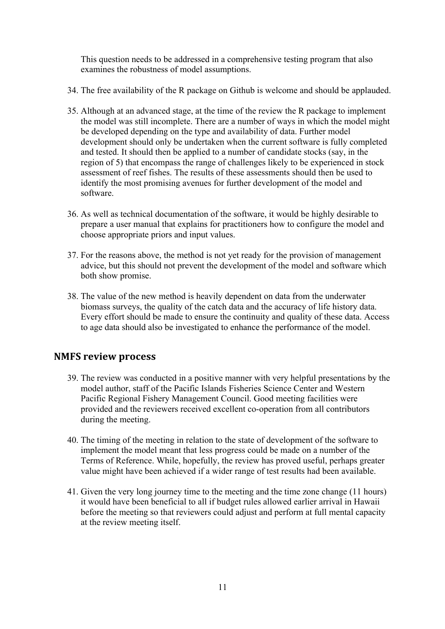This question needs to be addressed in a comprehensive testing program that also examines the robustness of model assumptions.

- 34. The free availability of the R package on Github is welcome and should be applauded.
- 35. Although at an advanced stage, at the time of the review the R package to implement the model was still incomplete. There are a number of ways in which the model might be developed depending on the type and availability of data. Further model development should only be undertaken when the current software is fully completed and tested. It should then be applied to a number of candidate stocks (say, in the region of 5) that encompass the range of challenges likely to be experienced in stock assessment of reef fishes. The results of these assessments should then be used to identify the most promising avenues for further development of the model and software.
- 36. As well as technical documentation of the software, it would be highly desirable to prepare a user manual that explains for practitioners how to configure the model and choose appropriate priors and input values.
- 37. For the reasons above, the method is not yet ready for the provision of management advice, but this should not prevent the development of the model and software which both show promise.
- 38. The value of the new method is heavily dependent on data from the underwater biomass surveys, the quality of the catch data and the accuracy of life history data. Every effort should be made to ensure the continuity and quality of these data. Access to age data should also be investigated to enhance the performance of the model.

## **NMFS review process**

- 39. The review was conducted in a positive manner with very helpful presentations by the model author, staff of the Pacific Islands Fisheries Science Center and Western Pacific Regional Fishery Management Council. Good meeting facilities were provided and the reviewers received excellent co-operation from all contributors during the meeting.
- 40. The timing of the meeting in relation to the state of development of the software to implement the model meant that less progress could be made on a number of the Terms of Reference. While, hopefully, the review has proved useful, perhaps greater value might have been achieved if a wider range of test results had been available.
- 41. Given the very long journey time to the meeting and the time zone change (11 hours) it would have been beneficial to all if budget rules allowed earlier arrival in Hawaii before the meeting so that reviewers could adjust and perform at full mental capacity at the review meeting itself.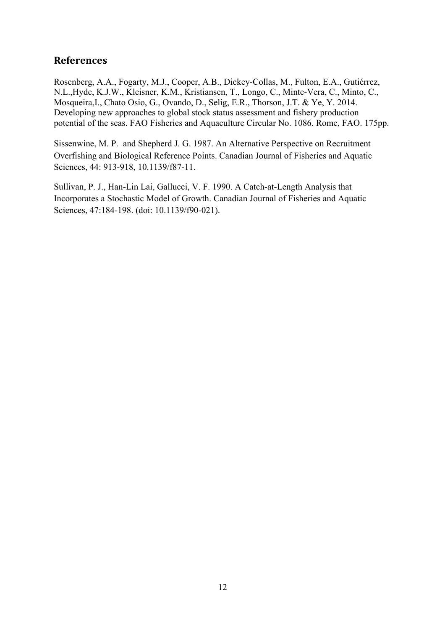# **References**

Rosenberg, A.A., Fogarty, M.J., Cooper, A.B., Dickey-Collas, M., Fulton, E.A., Gutiérrez, N.L.,Hyde, K.J.W., Kleisner, K.M., Kristiansen, T., Longo, C., Minte-Vera, C., Minto, C., Mosqueira,I., Chato Osio, G., Ovando, D., Selig, E.R., Thorson, J.T. & Ye, Y. 2014. Developing new approaches to global stock status assessment and fishery production potential of the seas. FAO Fisheries and Aquaculture Circular No. 1086. Rome, FAO. 175pp.

Sissenwine, M. P. and Shepherd J. G. 1987. An Alternative Perspective on Recruitment Overfishing and Biological Reference Points. Canadian Journal of Fisheries and Aquatic Sciences, 44: 913-918, 10.1139/f87-11.

Sullivan, P. J., Han-Lin Lai, Gallucci, V. F. 1990. A Catch-at-Length Analysis that Incorporates a Stochastic Model of Growth. Canadian Journal of Fisheries and Aquatic Sciences, 47:184-198. (doi: 10.1139/f90-021).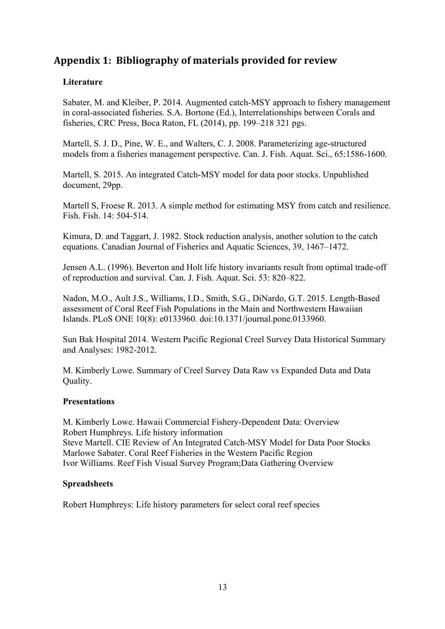# Appendix 1: Bibliography of materials provided for review

### **Literature**

Sabater, M. and Kleiber, P. 2014. Augmented catch-MSY approach to fishery management in coral-associated fisheries. S.A. Bortone (Ed.), Interrelationships between Corals and fisheries, CRC Press, Boca Raton, FL (2014), pp. 199–218 321 pgs.

Martell, S. J. D., Pine, W. E., and Walters, C. J. 2008. Parameterizing age-structured models from a fisheries management perspective. Can. J. Fish. Aquat. Sci., 65:1586-1600.

Martell, S. 2015. An integrated Catch-MSY model for data poor stocks. Unpublished document, 29pp.

Martell S, Froese R. 2013. A simple method for estimating MSY from catch and resilience. Fish. Fish. 14: 504-514.

Kimura, D. and Taggart, J. 1982. Stock reduction analysis, another solution to the catch equations. Canadian Journal of Fisheries and Aquatic Sciences, 39, 1467–1472.

Jensen A.L. (1996). Beverton and Holt life history invariants result from optimal trade-off of reproduction and survival. Can. J. Fish. Aquat. Sci. 53: 820–822.

Nadon, M.O., Ault J.S., Williams, I.D., Smith, S.G., DiNardo, G.T. 2015. Length-Based assessment of Coral Reef Fish Populations in the Main and Northwestern Hawaiian Islands. PLoS ONE 10(8): e0133960. doi:10.1371/journal.pone.0133960.

Sun Bak Hospital 2014. Western Pacific Regional Creel Survey Data Historical Summary and Analyses: 1982-2012.

M. Kimberly Lowe. Summary of Creel Survey Data Raw vs Expanded Data and Data Quality.

#### **Presentations**

M. Kimberly Lowe. Hawaii Commercial Fishery-Dependent Data: Overview Robert Humphreys. Life history information Steve Martell. CIE Review of An Integrated Catch-MSY Model for Data Poor Stocks Marlowe Sabater. Coral Reef Fisheries in the Western Pacific Region Ivor Williams. Reef Fish Visual Survey Program;Data Gathering Overview

#### **Spreadsheets**

Robert Humphreys: Life history parameters for select coral reef species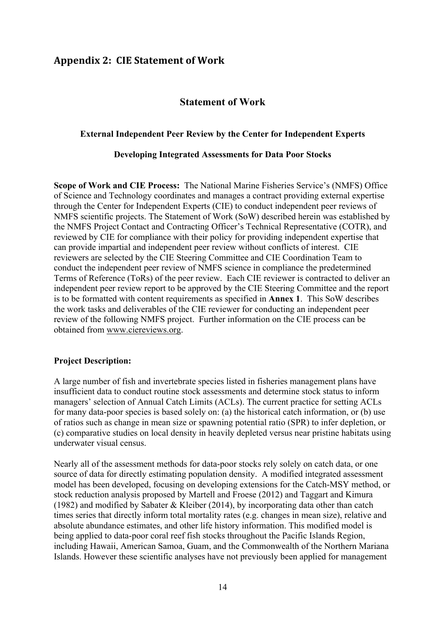# **Appendix 2: CIE Statement of Work**

#### **Statement of Work**

#### **External Independent Peer Review by the Center for Independent Experts**

#### **Developing Integrated Assessments for Data Poor Stocks**

**Scope of Work and CIE Process:** The National Marine Fisheries Service's (NMFS) Office of Science and Technology coordinates and manages a contract providing external expertise through the Center for Independent Experts (CIE) to conduct independent peer reviews of NMFS scientific projects. The Statement of Work (SoW) described herein was established by the NMFS Project Contact and Contracting Officer's Technical Representative (COTR), and reviewed by CIE for compliance with their policy for providing independent expertise that can provide impartial and independent peer review without conflicts of interest. CIE reviewers are selected by the CIE Steering Committee and CIE Coordination Team to conduct the independent peer review of NMFS science in compliance the predetermined Terms of Reference (ToRs) of the peer review. Each CIE reviewer is contracted to deliver an independent peer review report to be approved by the CIE Steering Committee and the report is to be formatted with content requirements as specified in **Annex 1**. This SoW describes the work tasks and deliverables of the CIE reviewer for conducting an independent peer review of the following NMFS project. Further information on the CIE process can be obtained from www.ciereviews.org.

#### **Project Description:**

A large number of fish and invertebrate species listed in fisheries management plans have insufficient data to conduct routine stock assessments and determine stock status to inform managers' selection of Annual Catch Limits (ACLs). The current practice for setting ACLs for many data-poor species is based solely on: (a) the historical catch information, or (b) use of ratios such as change in mean size or spawning potential ratio (SPR) to infer depletion, or (c) comparative studies on local density in heavily depleted versus near pristine habitats using underwater visual census.

Nearly all of the assessment methods for data-poor stocks rely solely on catch data, or one source of data for directly estimating population density. A modified integrated assessment model has been developed, focusing on developing extensions for the Catch-MSY method, or stock reduction analysis proposed by Martell and Froese (2012) and Taggart and Kimura (1982) and modified by Sabater & Kleiber (2014), by incorporating data other than catch times series that directly inform total mortality rates (e.g. changes in mean size), relative and absolute abundance estimates, and other life history information. This modified model is being applied to data-poor coral reef fish stocks throughout the Pacific Islands Region, including Hawaii, American Samoa, Guam, and the Commonwealth of the Northern Mariana Islands. However these scientific analyses have not previously been applied for management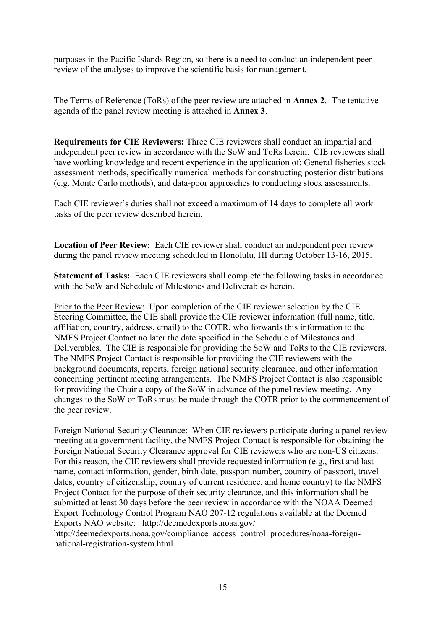purposes in the Pacific Islands Region, so there is a need to conduct an independent peer review of the analyses to improve the scientific basis for management.

The Terms of Reference (ToRs) of the peer review are attached in **Annex 2**. The tentative agenda of the panel review meeting is attached in **Annex 3**.

**Requirements for CIE Reviewers:** Three CIE reviewers shall conduct an impartial and independent peer review in accordance with the SoW and ToRs herein. CIE reviewers shall have working knowledge and recent experience in the application of: General fisheries stock assessment methods, specifically numerical methods for constructing posterior distributions (e.g. Monte Carlo methods), and data-poor approaches to conducting stock assessments.

Each CIE reviewer's duties shall not exceed a maximum of 14 days to complete all work tasks of the peer review described herein.

**Location of Peer Review:** Each CIE reviewer shall conduct an independent peer review during the panel review meeting scheduled in Honolulu, HI during October 13-16, 2015.

**Statement of Tasks:** Each CIE reviewers shall complete the following tasks in accordance with the SoW and Schedule of Milestones and Deliverables herein.

Prior to the Peer Review: Upon completion of the CIE reviewer selection by the CIE Steering Committee, the CIE shall provide the CIE reviewer information (full name, title, affiliation, country, address, email) to the COTR, who forwards this information to the NMFS Project Contact no later the date specified in the Schedule of Milestones and Deliverables. The CIE is responsible for providing the SoW and ToRs to the CIE reviewers. The NMFS Project Contact is responsible for providing the CIE reviewers with the background documents, reports, foreign national security clearance, and other information concerning pertinent meeting arrangements. The NMFS Project Contact is also responsible for providing the Chair a copy of the SoW in advance of the panel review meeting. Any changes to the SoW or ToRs must be made through the COTR prior to the commencement of the peer review.

Foreign National Security Clearance: When CIE reviewers participate during a panel review meeting at a government facility, the NMFS Project Contact is responsible for obtaining the Foreign National Security Clearance approval for CIE reviewers who are non-US citizens. For this reason, the CIE reviewers shall provide requested information (e.g., first and last name, contact information, gender, birth date, passport number, country of passport, travel dates, country of citizenship, country of current residence, and home country) to the NMFS Project Contact for the purpose of their security clearance, and this information shall be submitted at least 30 days before the peer review in accordance with the NOAA Deemed Export Technology Control Program NAO 207-12 regulations available at the Deemed Exports NAO website: http://deemedexports.noaa.gov/

http://deemedexports.noaa.gov/compliance\_access\_control\_procedures/noaa-foreignnational-registration-system.html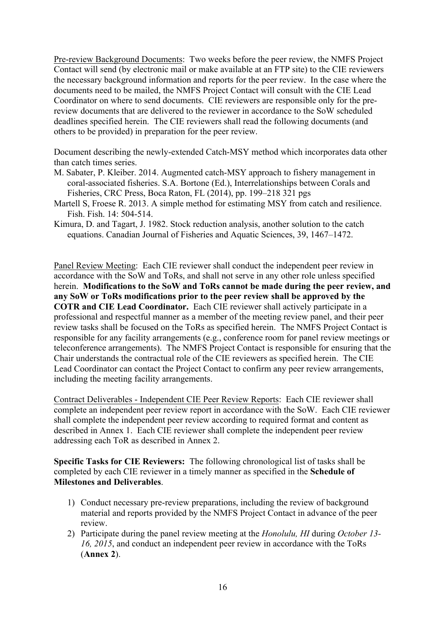Pre-review Background Documents: Two weeks before the peer review, the NMFS Project Contact will send (by electronic mail or make available at an FTP site) to the CIE reviewers the necessary background information and reports for the peer review. In the case where the documents need to be mailed, the NMFS Project Contact will consult with the CIE Lead Coordinator on where to send documents. CIE reviewers are responsible only for the prereview documents that are delivered to the reviewer in accordance to the SoW scheduled deadlines specified herein. The CIE reviewers shall read the following documents (and others to be provided) in preparation for the peer review.

Document describing the newly-extended Catch-MSY method which incorporates data other than catch times series.

- M. Sabater, P. Kleiber. 2014. Augmented catch-MSY approach to fishery management in coral-associated fisheries. S.A. Bortone (Ed.), Interrelationships between Corals and Fisheries, CRC Press, Boca Raton, FL (2014), pp. 199–218 321 pgs
- Martell S, Froese R. 2013. A simple method for estimating MSY from catch and resilience. Fish. Fish. 14: 504-514.
- Kimura, D. and Tagart, J. 1982. Stock reduction analysis, another solution to the catch equations. Canadian Journal of Fisheries and Aquatic Sciences, 39, 1467–1472.

Panel Review Meeting: Each CIE reviewer shall conduct the independent peer review in accordance with the SoW and ToRs, and shall not serve in any other role unless specified herein. **Modifications to the SoW and ToRs cannot be made during the peer review, and any SoW or ToRs modifications prior to the peer review shall be approved by the COTR and CIE Lead Coordinator.** Each CIE reviewer shall actively participate in a professional and respectful manner as a member of the meeting review panel, and their peer review tasks shall be focused on the ToRs as specified herein. The NMFS Project Contact is responsible for any facility arrangements (e.g., conference room for panel review meetings or teleconference arrangements). The NMFS Project Contact is responsible for ensuring that the Chair understands the contractual role of the CIE reviewers as specified herein. The CIE Lead Coordinator can contact the Project Contact to confirm any peer review arrangements, including the meeting facility arrangements.

Contract Deliverables - Independent CIE Peer Review Reports: Each CIE reviewer shall complete an independent peer review report in accordance with the SoW. Each CIE reviewer shall complete the independent peer review according to required format and content as described in Annex 1. Each CIE reviewer shall complete the independent peer review addressing each ToR as described in Annex 2.

**Specific Tasks for CIE Reviewers:** The following chronological list of tasks shall be completed by each CIE reviewer in a timely manner as specified in the **Schedule of Milestones and Deliverables**.

- 1) Conduct necessary pre-review preparations, including the review of background material and reports provided by the NMFS Project Contact in advance of the peer review.
- 2) Participate during the panel review meeting at the *Honolulu, HI* during *October 13- 16, 2015*, and conduct an independent peer review in accordance with the ToRs (**Annex 2**).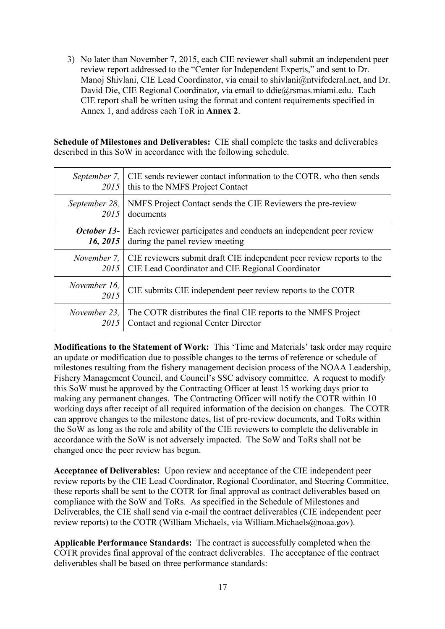3) No later than November 7, 2015, each CIE reviewer shall submit an independent peer review report addressed to the "Center for Independent Experts," and sent to Dr. Manoj Shivlani, CIE Lead Coordinator, via email to shivlani@ntvifederal.net, and Dr. David Die, CIE Regional Coordinator, via email to ddie@rsmas.miami.edu. Each CIE report shall be written using the format and content requirements specified in Annex 1, and address each ToR in **Annex 2**.

**Schedule of Milestones and Deliverables:** CIE shall complete the tasks and deliverables described in this SoW in accordance with the following schedule.

| 2015                 | September 7, CIE sends reviewer contact information to the COTR, who then sends<br>this to the NMFS Project Contact |
|----------------------|---------------------------------------------------------------------------------------------------------------------|
| September 28,        | NMFS Project Contact sends the CIE Reviewers the pre-review                                                         |
| 2015                 | documents                                                                                                           |
| October 13-          | Each reviewer participates and conducts an independent peer review                                                  |
| 16, 2015             | during the panel review meeting                                                                                     |
| November 7,          | CIE reviewers submit draft CIE independent peer review reports to the                                               |
| 2015                 | CIE Lead Coordinator and CIE Regional Coordinator                                                                   |
| November 16,<br>2015 | CIE submits CIE independent peer review reports to the COTR                                                         |
| November 23,         | The COTR distributes the final CIE reports to the NMFS Project                                                      |
| 2015                 | Contact and regional Center Director                                                                                |

**Modifications to the Statement of Work:** This 'Time and Materials' task order may require an update or modification due to possible changes to the terms of reference or schedule of milestones resulting from the fishery management decision process of the NOAA Leadership, Fishery Management Council, and Council's SSC advisory committee. A request to modify this SoW must be approved by the Contracting Officer at least 15 working days prior to making any permanent changes. The Contracting Officer will notify the COTR within 10 working days after receipt of all required information of the decision on changes. The COTR can approve changes to the milestone dates, list of pre-review documents, and ToRs within the SoW as long as the role and ability of the CIE reviewers to complete the deliverable in accordance with the SoW is not adversely impacted. The SoW and ToRs shall not be changed once the peer review has begun.

**Acceptance of Deliverables:** Upon review and acceptance of the CIE independent peer review reports by the CIE Lead Coordinator, Regional Coordinator, and Steering Committee, these reports shall be sent to the COTR for final approval as contract deliverables based on compliance with the SoW and ToRs. As specified in the Schedule of Milestones and Deliverables, the CIE shall send via e-mail the contract deliverables (CIE independent peer review reports) to the COTR (William Michaels, via William.Michaels@noaa.gov).

**Applicable Performance Standards:** The contract is successfully completed when the COTR provides final approval of the contract deliverables. The acceptance of the contract deliverables shall be based on three performance standards: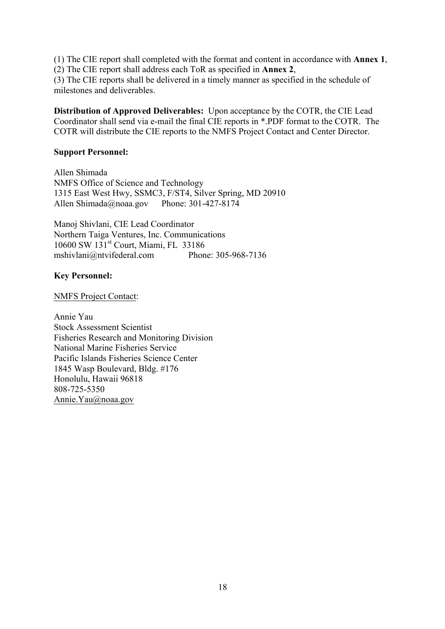(1) The CIE report shall completed with the format and content in accordance with **Annex 1**,

(2) The CIE report shall address each ToR as specified in **Annex 2**,

(3) The CIE reports shall be delivered in a timely manner as specified in the schedule of milestones and deliverables.

**Distribution of Approved Deliverables:** Upon acceptance by the COTR, the CIE Lead Coordinator shall send via e-mail the final CIE reports in \*.PDF format to the COTR. The COTR will distribute the CIE reports to the NMFS Project Contact and Center Director.

#### **Support Personnel:**

Allen Shimada NMFS Office of Science and Technology 1315 East West Hwy, SSMC3, F/ST4, Silver Spring, MD 20910 Allen Shimada@noaa.gov Phone: 301-427-8174

Manoj Shivlani, CIE Lead Coordinator Northern Taiga Ventures, Inc. Communications 10600 SW 131st Court, Miami, FL 33186 mshivlani@ntvifederal.com Phone: 305-968-7136

#### **Key Personnel:**

NMFS Project Contact:

Annie Yau Stock Assessment Scientist Fisheries Research and Monitoring Division National Marine Fisheries Service Pacific Islands Fisheries Science Center 1845 Wasp Boulevard, Bldg. #176 Honolulu, Hawaii 96818 808-725-5350 Annie.Yau@noaa.gov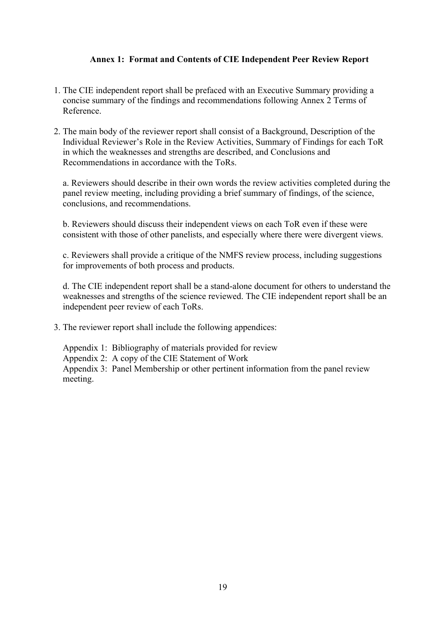#### **Annex 1: Format and Contents of CIE Independent Peer Review Report**

- 1. The CIE independent report shall be prefaced with an Executive Summary providing a concise summary of the findings and recommendations following Annex 2 Terms of Reference.
- 2. The main body of the reviewer report shall consist of a Background, Description of the Individual Reviewer's Role in the Review Activities, Summary of Findings for each ToR in which the weaknesses and strengths are described, and Conclusions and Recommendations in accordance with the ToRs.

a. Reviewers should describe in their own words the review activities completed during the panel review meeting, including providing a brief summary of findings, of the science, conclusions, and recommendations.

b. Reviewers should discuss their independent views on each ToR even if these were consistent with those of other panelists, and especially where there were divergent views.

c. Reviewers shall provide a critique of the NMFS review process, including suggestions for improvements of both process and products.

d. The CIE independent report shall be a stand-alone document for others to understand the weaknesses and strengths of the science reviewed. The CIE independent report shall be an independent peer review of each ToRs.

- 3. The reviewer report shall include the following appendices:
	- Appendix 1: Bibliography of materials provided for review
	- Appendix 2: A copy of the CIE Statement of Work

Appendix 3: Panel Membership or other pertinent information from the panel review meeting.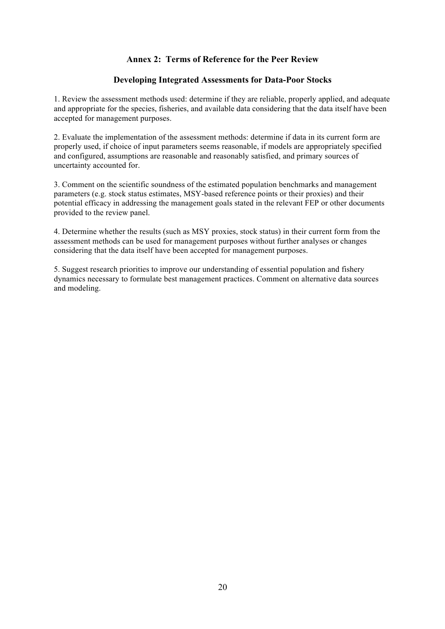#### **Annex 2: Terms of Reference for the Peer Review**

#### **Developing Integrated Assessments for Data-Poor Stocks**

1. Review the assessment methods used: determine if they are reliable, properly applied, and adequate and appropriate for the species, fisheries, and available data considering that the data itself have been accepted for management purposes.

2. Evaluate the implementation of the assessment methods: determine if data in its current form are properly used, if choice of input parameters seems reasonable, if models are appropriately specified and configured, assumptions are reasonable and reasonably satisfied, and primary sources of uncertainty accounted for.

3. Comment on the scientific soundness of the estimated population benchmarks and management parameters (e.g. stock status estimates, MSY-based reference points or their proxies) and their potential efficacy in addressing the management goals stated in the relevant FEP or other documents provided to the review panel.

4. Determine whether the results (such as MSY proxies, stock status) in their current form from the assessment methods can be used for management purposes without further analyses or changes considering that the data itself have been accepted for management purposes.

5. Suggest research priorities to improve our understanding of essential population and fishery dynamics necessary to formulate best management practices. Comment on alternative data sources and modeling.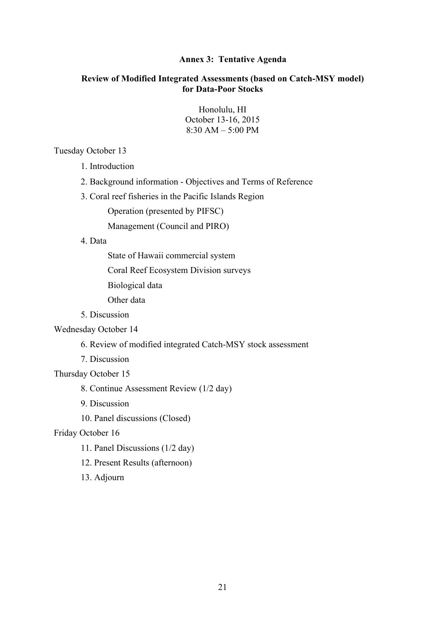#### **Annex 3: Tentative Agenda**

#### **Review of Modified Integrated Assessments (based on Catch-MSY model) for Data-Poor Stocks**

Honolulu, HI October 13-16, 2015 8:30 AM – 5:00 PM

#### Tuesday October 13

- 1. Introduction
- 2. Background information Objectives and Terms of Reference
- 3. Coral reef fisheries in the Pacific Islands Region

Operation (presented by PIFSC)

Management (Council and PIRO)

#### 4. Data

State of Hawaii commercial system

Coral Reef Ecosystem Division surveys

Biological data

Other data

5. Discussion

#### Wednesday October 14

6. Review of modified integrated Catch-MSY stock assessment

7. Discussion

Thursday October 15

8. Continue Assessment Review (1/2 day)

- 9. Discussion
- 10. Panel discussions (Closed)

#### Friday October 16

- 11. Panel Discussions (1/2 day)
- 12. Present Results (afternoon)
- 13. Adjourn